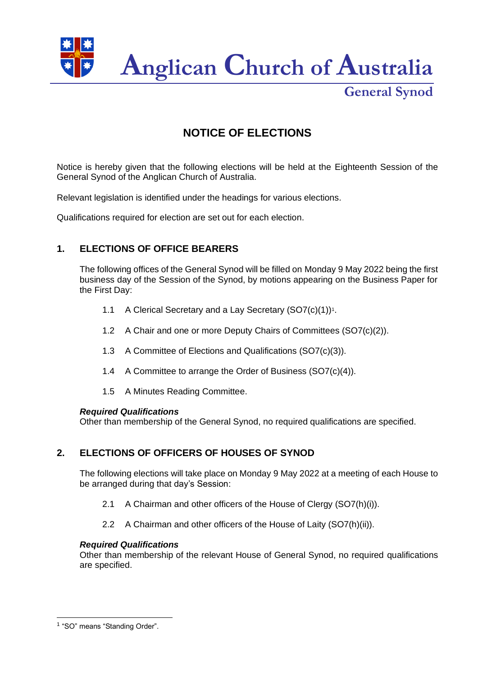

**General Synod**

# **NOTICE OF ELECTIONS**

Notice is hereby given that the following elections will be held at the Eighteenth Session of the General Synod of the Anglican Church of Australia.

Relevant legislation is identified under the headings for various elections.

Qualifications required for election are set out for each election.

# **1. ELECTIONS OF OFFICE BEARERS**

The following offices of the General Synod will be filled on Monday 9 May 2022 being the first business day of the Session of the Synod, by motions appearing on the Business Paper for the First Day:

- 1.1 A Clerical Secretary and a Lay Secretary (SO7(c)(1))<sup>1</sup>.
- 1.2 A Chair and one or more Deputy Chairs of Committees (SO7(c)(2)).
- 1.3 A Committee of Elections and Qualifications (SO7(c)(3)).
- 1.4 A Committee to arrange the Order of Business (SO7(c)(4)).
- 1.5 A Minutes Reading Committee.

#### *Required Qualifications*

Other than membership of the General Synod, no required qualifications are specified.

# **2. ELECTIONS OF OFFICERS OF HOUSES OF SYNOD**

The following elections will take place on Monday 9 May 2022 at a meeting of each House to be arranged during that day's Session:

- 2.1 A Chairman and other officers of the House of Clergy (SO7(h)(i)).
- 2.2 A Chairman and other officers of the House of Laity (SO7(h)(ii)).

#### *Required Qualifications*

Other than membership of the relevant House of General Synod, no required qualifications are specified.

<sup>&</sup>lt;sup>1</sup> "SO" means "Standing Order".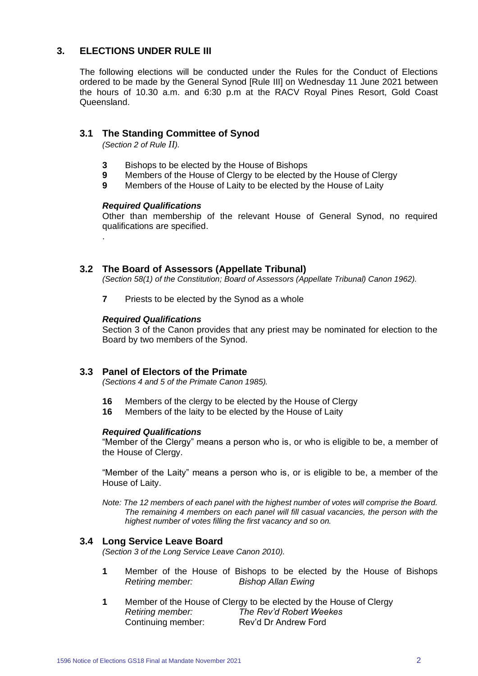## **3. ELECTIONS UNDER RULE III**

The following elections will be conducted under the Rules for the Conduct of Elections ordered to be made by the General Synod [Rule III] on Wednesday 11 June 2021 between the hours of 10.30 a.m. and 6:30 p.m at the RACV Royal Pines Resort, Gold Coast Queensland.

### **3.1 The Standing Committee of Synod**

*(Section 2 of Rule II).*

- **3** Bishops to be elected by the House of Bishops
- **9** Members of the House of Clergy to be elected by the House of Clergy
- **9** Members of the House of Laity to be elected by the House of Laity

#### *Required Qualifications*

.

Other than membership of the relevant House of General Synod, no required qualifications are specified.

#### **3.2 The Board of Assessors (Appellate Tribunal)**

*(Section 58(1) of the Constitution; Board of Assessors (Appellate Tribunal) Canon 1962).*

**7** Priests to be elected by the Synod as a whole

#### *Required Qualifications*

Section 3 of the Canon provides that any priest may be nominated for election to the Board by two members of the Synod.

#### **3.3 Panel of Electors of the Primate**

*(Sections 4 and 5 of the Primate Canon 1985).*

- **16** Members of the clergy to be elected by the House of Clergy
- **16** Members of the laity to be elected by the House of Laity

#### *Required Qualifications*

"Member of the Clergy" means a person who is, or who is eligible to be, a member of the House of Clergy.

"Member of the Laity" means a person who is, or is eligible to be, a member of the House of Laity.

*Note: The 12 members of each panel with the highest number of votes will comprise the Board. The remaining 4 members on each panel will fill casual vacancies, the person with the highest number of votes filling the first vacancy and so on.*

#### **3.4 Long Service Leave Board**

*(Section 3 of the Long Service Leave Canon 2010).*

- **1** Member of the House of Bishops to be elected by the House of Bishops *Retiring member: Bishop Allan Ewing*
- **1** Member of the House of Clergy to be elected by the House of Clergy *Retiring member: The Rev'd Robert Weekes* Continuing member: Rev'd Dr Andrew Ford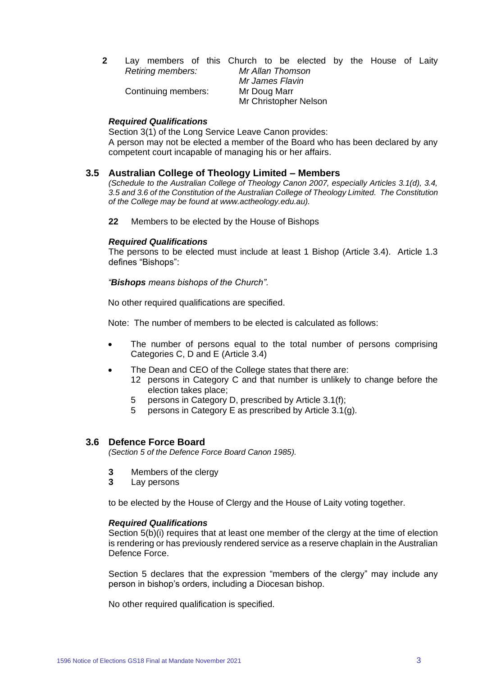|  |                     | Lay members of this Church to be elected by the House of Laity |  |  |  |
|--|---------------------|----------------------------------------------------------------|--|--|--|
|  | Retiring members:   | Mr Allan Thomson                                               |  |  |  |
|  |                     | Mr James Flavin                                                |  |  |  |
|  | Continuing members: | Mr Doug Marr                                                   |  |  |  |
|  |                     | Mr Christopher Nelson                                          |  |  |  |

#### *Required Qualifications*

Section 3(1) of the Long Service Leave Canon provides: A person may not be elected a member of the Board who has been declared by any competent court incapable of managing his or her affairs.

#### **3.5 Australian College of Theology Limited – Members**

*(Schedule to the Australian College of Theology Canon 2007, especially Articles 3.1(d), 3.4, 3.5 and 3.6 of the Constitution of the Australian College of Theology Limited. The Constitution of the College may be found at www.actheology.edu.au).*

**22** Members to be elected by the House of Bishops

#### *Required Qualifications*

The persons to be elected must include at least 1 Bishop (Article 3.4). Article 1.3 defines "Bishops":

*"Bishops means bishops of the Church".*

No other required qualifications are specified.

Note: The number of members to be elected is calculated as follows:

- The number of persons equal to the total number of persons comprising Categories C, D and E (Article 3.4)
- The Dean and CEO of the College states that there are:
	- 12 persons in Category C and that number is unlikely to change before the election takes place;
	- 5 persons in Category D, prescribed by Article 3.1(f);
	- 5 persons in Category E as prescribed by Article 3.1(g).

#### **3.6 Defence Force Board**

*(Section 5 of the Defence Force Board Canon 1985).*

- **3** Members of the clergy
- **3** Lay persons

to be elected by the House of Clergy and the House of Laity voting together.

#### *Required Qualifications*

Section 5(b)(i) requires that at least one member of the clergy at the time of election is rendering or has previously rendered service as a reserve chaplain in the Australian Defence Force.

Section 5 declares that the expression "members of the clergy" may include any person in bishop's orders, including a Diocesan bishop.

No other required qualification is specified.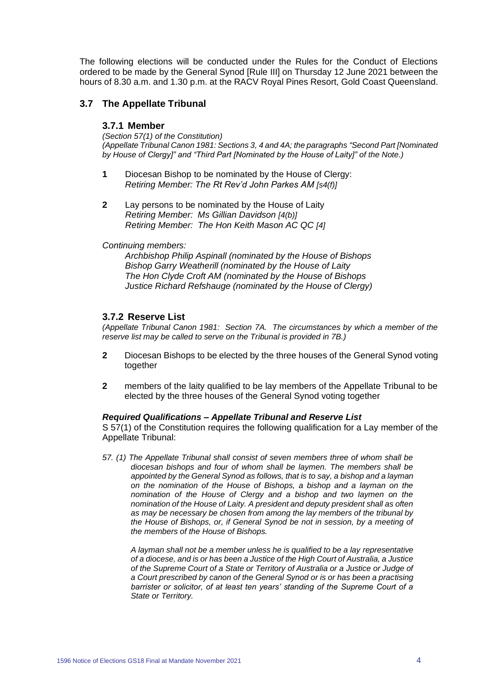The following elections will be conducted under the Rules for the Conduct of Elections ordered to be made by the General Synod [Rule III] on Thursday 12 June 2021 between the hours of 8.30 a.m. and 1.30 p.m. at the RACV Royal Pines Resort, Gold Coast Queensland.

### **3.7 The Appellate Tribunal**

#### **3.7.1 Member**

*(Section 57(1) of the Constitution) (Appellate Tribunal Canon 1981: Sections 3, 4 and 4A; the paragraphs "Second Part [Nominated by House of Clergy]" and "Third Part [Nominated by the House of Laity]" of the Note.)*

- **1** Diocesan Bishop to be nominated by the House of Clergy: *Retiring Member: The Rt Rev'd John Parkes AM [s4(f)]*
- **2** Lay persons to be nominated by the House of Laity *Retiring Member: Ms Gillian Davidson [4(b)] Retiring Member: The Hon Keith Mason AC QC [4]*

#### *Continuing members:*

*Archbishop Philip Aspinall (nominated by the House of Bishops Bishop Garry Weatherill (nominated by the House of Laity The Hon Clyde Croft AM (nominated by the House of Bishops Justice Richard Refshauge (nominated by the House of Clergy)*

#### **3.7.2 Reserve List**

*(Appellate Tribunal Canon 1981: Section 7A. The circumstances by which a member of the reserve list may be called to serve on the Tribunal is provided in 7B.)*

- **2** Diocesan Bishops to be elected by the three houses of the General Synod voting together
- **2** members of the laity qualified to be lay members of the Appellate Tribunal to be elected by the three houses of the General Synod voting together

#### *Required Qualifications – Appellate Tribunal and Reserve List*

S 57(1) of the Constitution requires the following qualification for a Lay member of the Appellate Tribunal:

*57. (1) The Appellate Tribunal shall consist of seven members three of whom shall be diocesan bishops and four of whom shall be laymen. The members shall be appointed by the General Synod as follows, that is to say, a bishop and a layman on the nomination of the House of Bishops, a bishop and a layman on the nomination of the House of Clergy and a bishop and two laymen on the nomination of the House of Laity. A president and deputy president shall as often as may be necessary be chosen from among the lay members of the tribunal by the House of Bishops, or, if General Synod be not in session, by a meeting of the members of the House of Bishops.*

*A layman shall not be a member unless he is qualified to be a lay representative of a diocese, and is or has been a Justice of the High Court of Australia, a Justice of the Supreme Court of a State or Territory of Australia or a Justice or Judge of a Court prescribed by canon of the General Synod or is or has been a practising barrister or solicitor, of at least ten years' standing of the Supreme Court of a State or Territory.*